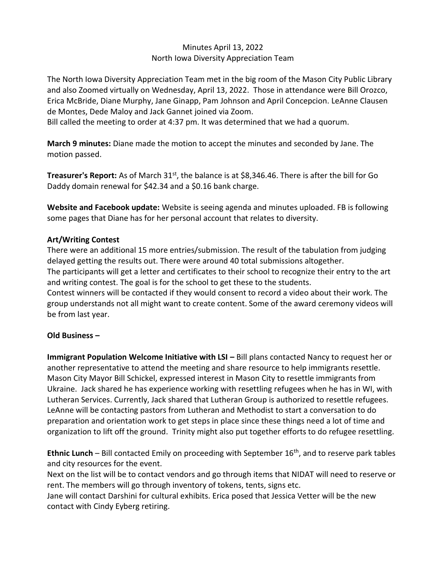## Minutes April 13, 2022 North Iowa Diversity Appreciation Team

The North Iowa Diversity Appreciation Team met in the big room of the Mason City Public Library and also Zoomed virtually on Wednesday, April 13, 2022. Those in attendance were Bill Orozco, Erica McBride, Diane Murphy, Jane Ginapp, Pam Johnson and April Concepcion. LeAnne Clausen de Montes, Dede Maloy and Jack Gannet joined via Zoom.

Bill called the meeting to order at 4:37 pm. It was determined that we had a quorum.

**March 9 minutes:** Diane made the motion to accept the minutes and seconded by Jane. The motion passed.

**Treasurer's Report:** As of March 31<sup>st</sup>, the balance is at \$8,346.46. There is after the bill for Go Daddy domain renewal for \$42.34 and a \$0.16 bank charge.

**Website and Facebook update:** Website is seeing agenda and minutes uploaded. FB is following some pages that Diane has for her personal account that relates to diversity.

## **Art/Writing Contest**

There were an additional 15 more entries/submission. The result of the tabulation from judging delayed getting the results out. There were around 40 total submissions altogether.

The participants will get a letter and certificates to their school to recognize their entry to the art and writing contest. The goal is for the school to get these to the students.

Contest winners will be contacted if they would consent to record a video about their work. The group understands not all might want to create content. Some of the award ceremony videos will be from last year.

## **Old Business –**

**Immigrant Population Welcome Initiative with LSI – Bill plans contacted Nancy to request her or** another representative to attend the meeting and share resource to help immigrants resettle. Mason City Mayor Bill Schickel, expressed interest in Mason City to resettle immigrants from Ukraine. Jack shared he has experience working with resettling refugees when he has in WI, with Lutheran Services. Currently, Jack shared that Lutheran Group is authorized to resettle refugees. LeAnne will be contacting pastors from Lutheran and Methodist to start a conversation to do preparation and orientation work to get steps in place since these things need a lot of time and organization to lift off the ground. Trinity might also put together efforts to do refugee resettling.

**Ethnic Lunch** – Bill contacted Emily on proceeding with September 16<sup>th</sup>, and to reserve park tables and city resources for the event.

Next on the list will be to contact vendors and go through items that NIDAT will need to reserve or rent. The members will go through inventory of tokens, tents, signs etc.

Jane will contact Darshini for cultural exhibits. Erica posed that Jessica Vetter will be the new contact with Cindy Eyberg retiring.